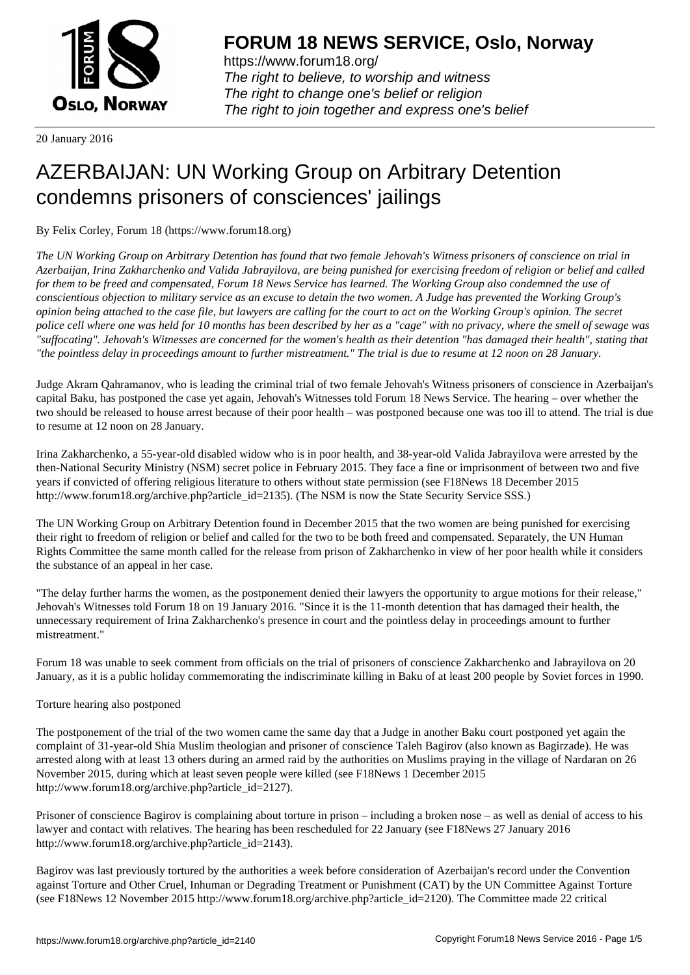

https://www.forum18.org/ The right to believe, to worship and witness The right to change one's belief or religion [The right to join together a](https://www.forum18.org/)nd express one's belief

20 January 2016

## [AZERBAIJAN: U](https://www.forum18.org)N Working Group on Arbitrary Detention condemns prisoners of consciences' jailings

By Felix Corley, Forum 18 (https://www.forum18.org)

*The UN Working Group on Arbitrary Detention has found that two female Jehovah's Witness prisoners of conscience on trial in Azerbaijan, Irina Zakharchenko and Valida Jabrayilova, are being punished for exercising freedom of religion or belief and called for them to be freed and compensated, Forum 18 News Service has learned. The Working Group also condemned the use of conscientious objection to military service as an excuse to detain the two women. A Judge has prevented the Working Group's opinion being attached to the case file, but lawyers are calling for the court to act on the Working Group's opinion. The secret police cell where one was held for 10 months has been described by her as a "cage" with no privacy, where the smell of sewage was "suffocating". Jehovah's Witnesses are concerned for the women's health as their detention "has damaged their health", stating that "the pointless delay in proceedings amount to further mistreatment." The trial is due to resume at 12 noon on 28 January.*

Judge Akram Qahramanov, who is leading the criminal trial of two female Jehovah's Witness prisoners of conscience in Azerbaijan's capital Baku, has postponed the case yet again, Jehovah's Witnesses told Forum 18 News Service. The hearing – over whether the two should be released to house arrest because of their poor health – was postponed because one was too ill to attend. The trial is due to resume at 12 noon on 28 January.

Irina Zakharchenko, a 55-year-old disabled widow who is in poor health, and 38-year-old Valida Jabrayilova were arrested by the then-National Security Ministry (NSM) secret police in February 2015. They face a fine or imprisonment of between two and five years if convicted of offering religious literature to others without state permission (see F18News 18 December 2015 http://www.forum18.org/archive.php?article\_id=2135). (The NSM is now the State Security Service SSS.)

The UN Working Group on Arbitrary Detention found in December 2015 that the two women are being punished for exercising their right to freedom of religion or belief and called for the two to be both freed and compensated. Separately, the UN Human Rights Committee the same month called for the release from prison of Zakharchenko in view of her poor health while it considers the substance of an appeal in her case.

"The delay further harms the women, as the postponement denied their lawyers the opportunity to argue motions for their release," Jehovah's Witnesses told Forum 18 on 19 January 2016. "Since it is the 11-month detention that has damaged their health, the unnecessary requirement of Irina Zakharchenko's presence in court and the pointless delay in proceedings amount to further mistreatment."

Forum 18 was unable to seek comment from officials on the trial of prisoners of conscience Zakharchenko and Jabrayilova on 20 January, as it is a public holiday commemorating the indiscriminate killing in Baku of at least 200 people by Soviet forces in 1990.

## Torture hearing also postponed

The postponement of the trial of the two women came the same day that a Judge in another Baku court postponed yet again the complaint of 31-year-old Shia Muslim theologian and prisoner of conscience Taleh Bagirov (also known as Bagirzade). He was arrested along with at least 13 others during an armed raid by the authorities on Muslims praying in the village of Nardaran on 26 November 2015, during which at least seven people were killed (see F18News 1 December 2015 http://www.forum18.org/archive.php?article\_id=2127).

Prisoner of conscience Bagirov is complaining about torture in prison – including a broken nose – as well as denial of access to his lawyer and contact with relatives. The hearing has been rescheduled for 22 January (see F18News 27 January 2016 http://www.forum18.org/archive.php?article\_id=2143).

Bagirov was last previously tortured by the authorities a week before consideration of Azerbaijan's record under the Convention against Torture and Other Cruel, Inhuman or Degrading Treatment or Punishment (CAT) by the UN Committee Against Torture (see F18News 12 November 2015 http://www.forum18.org/archive.php?article\_id=2120). The Committee made 22 critical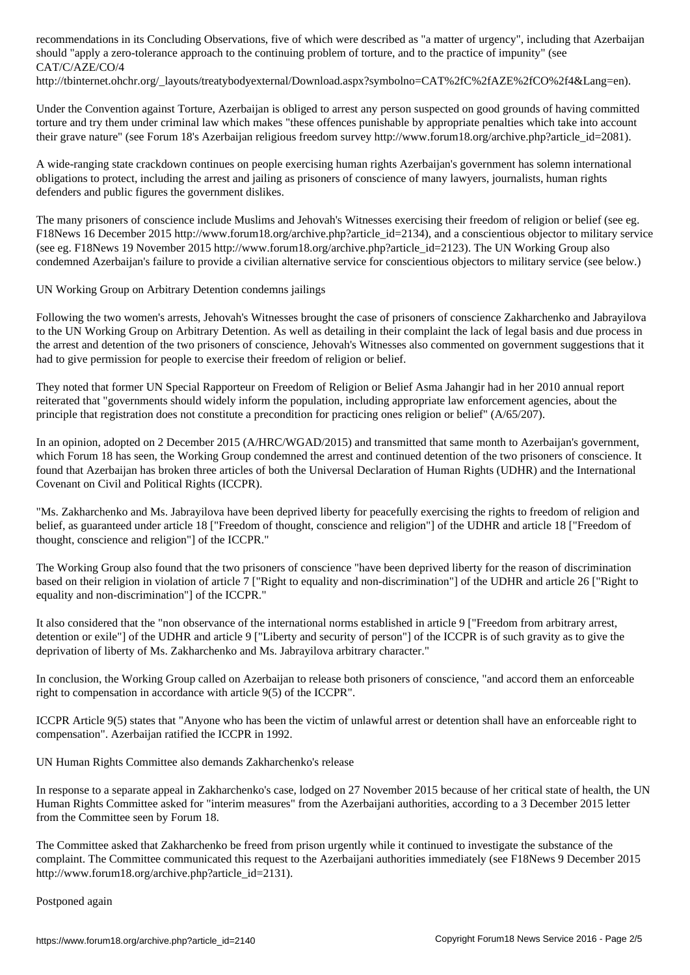## should "apply a zero-tolerance approach to the continuing problem of torture, and to the practice of impunity" (see CAT/C/AZE/CO/4

http://tbinternet.ohchr.org/\_layouts/treatybodyexternal/Download.aspx?symbolno=CAT%2fC%2fAZE%2fCO%2f4&Lang=en).

Under the Convention against Torture, Azerbaijan is obliged to arrest any person suspected on good grounds of having committed torture and try them under criminal law which makes "these offences punishable by appropriate penalties which take into account their grave nature" (see Forum 18's Azerbaijan religious freedom survey http://www.forum18.org/archive.php?article\_id=2081).

A wide-ranging state crackdown continues on people exercising human rights Azerbaijan's government has solemn international obligations to protect, including the arrest and jailing as prisoners of conscience of many lawyers, journalists, human rights defenders and public figures the government dislikes.

The many prisoners of conscience include Muslims and Jehovah's Witnesses exercising their freedom of religion or belief (see eg. F18News 16 December 2015 http://www.forum18.org/archive.php?article\_id=2134), and a conscientious objector to military service (see eg. F18News 19 November 2015 http://www.forum18.org/archive.php?article\_id=2123). The UN Working Group also condemned Azerbaijan's failure to provide a civilian alternative service for conscientious objectors to military service (see below.)

UN Working Group on Arbitrary Detention condemns jailings

Following the two women's arrests, Jehovah's Witnesses brought the case of prisoners of conscience Zakharchenko and Jabrayilova to the UN Working Group on Arbitrary Detention. As well as detailing in their complaint the lack of legal basis and due process in the arrest and detention of the two prisoners of conscience, Jehovah's Witnesses also commented on government suggestions that it had to give permission for people to exercise their freedom of religion or belief.

They noted that former UN Special Rapporteur on Freedom of Religion or Belief Asma Jahangir had in her 2010 annual report reiterated that "governments should widely inform the population, including appropriate law enforcement agencies, about the principle that registration does not constitute a precondition for practicing ones religion or belief" (A/65/207).

In an opinion, adopted on 2 December 2015 (A/HRC/WGAD/2015) and transmitted that same month to Azerbaijan's government, which Forum 18 has seen, the Working Group condemned the arrest and continued detention of the two prisoners of conscience. It found that Azerbaijan has broken three articles of both the Universal Declaration of Human Rights (UDHR) and the International Covenant on Civil and Political Rights (ICCPR).

"Ms. Zakharchenko and Ms. Jabrayilova have been deprived liberty for peacefully exercising the rights to freedom of religion and belief, as guaranteed under article 18 ["Freedom of thought, conscience and religion"] of the UDHR and article 18 ["Freedom of thought, conscience and religion"] of the ICCPR."

The Working Group also found that the two prisoners of conscience "have been deprived liberty for the reason of discrimination based on their religion in violation of article 7 ["Right to equality and non-discrimination"] of the UDHR and article 26 ["Right to equality and non-discrimination"] of the ICCPR."

It also considered that the "non observance of the international norms established in article 9 ["Freedom from arbitrary arrest, detention or exile"] of the UDHR and article 9 ["Liberty and security of person"] of the ICCPR is of such gravity as to give the deprivation of liberty of Ms. Zakharchenko and Ms. Jabrayilova arbitrary character."

In conclusion, the Working Group called on Azerbaijan to release both prisoners of conscience, "and accord them an enforceable right to compensation in accordance with article 9(5) of the ICCPR".

ICCPR Article 9(5) states that "Anyone who has been the victim of unlawful arrest or detention shall have an enforceable right to compensation". Azerbaijan ratified the ICCPR in 1992.

UN Human Rights Committee also demands Zakharchenko's release

In response to a separate appeal in Zakharchenko's case, lodged on 27 November 2015 because of her critical state of health, the UN Human Rights Committee asked for "interim measures" from the Azerbaijani authorities, according to a 3 December 2015 letter from the Committee seen by Forum 18.

The Committee asked that Zakharchenko be freed from prison urgently while it continued to investigate the substance of the complaint. The Committee communicated this request to the Azerbaijani authorities immediately (see F18News 9 December 2015 http://www.forum18.org/archive.php?article\_id=2131).

Postponed again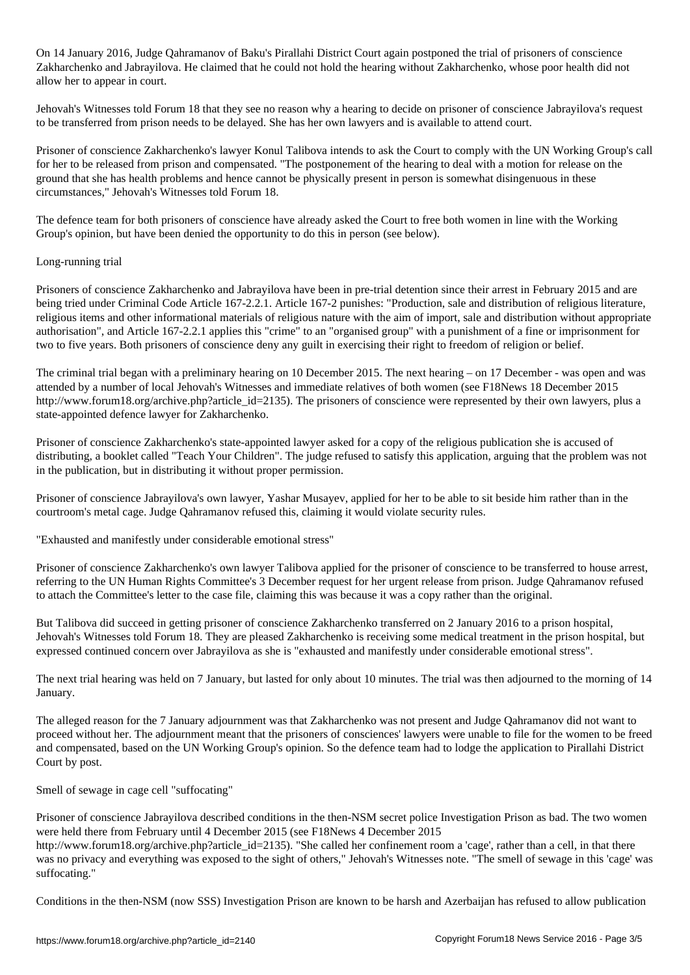On 14 January 2016, Judge Qahramanov of Baku's Pirallahi District Court again postponed the trial of prisoners of conscience Zakharchenko and Jabrayilova. He claimed that he could not hold the hearing without Zakharchenko, whose poor health did not allow her to appear in court.

Jehovah's Witnesses told Forum 18 that they see no reason why a hearing to decide on prisoner of conscience Jabrayilova's request to be transferred from prison needs to be delayed. She has her own lawyers and is available to attend court.

Prisoner of conscience Zakharchenko's lawyer Konul Talibova intends to ask the Court to comply with the UN Working Group's call for her to be released from prison and compensated. "The postponement of the hearing to deal with a motion for release on the ground that she has health problems and hence cannot be physically present in person is somewhat disingenuous in these circumstances," Jehovah's Witnesses told Forum 18.

The defence team for both prisoners of conscience have already asked the Court to free both women in line with the Working Group's opinion, but have been denied the opportunity to do this in person (see below).

## Long-running trial

Prisoners of conscience Zakharchenko and Jabrayilova have been in pre-trial detention since their arrest in February 2015 and are being tried under Criminal Code Article 167-2.2.1. Article 167-2 punishes: "Production, sale and distribution of religious literature, religious items and other informational materials of religious nature with the aim of import, sale and distribution without appropriate authorisation", and Article 167-2.2.1 applies this "crime" to an "organised group" with a punishment of a fine or imprisonment for two to five years. Both prisoners of conscience deny any guilt in exercising their right to freedom of religion or belief.

The criminal trial began with a preliminary hearing on 10 December 2015. The next hearing – on 17 December - was open and was attended by a number of local Jehovah's Witnesses and immediate relatives of both women (see F18News 18 December 2015 http://www.forum18.org/archive.php?article\_id=2135). The prisoners of conscience were represented by their own lawyers, plus a state-appointed defence lawyer for Zakharchenko.

Prisoner of conscience Zakharchenko's state-appointed lawyer asked for a copy of the religious publication she is accused of distributing, a booklet called "Teach Your Children". The judge refused to satisfy this application, arguing that the problem was not in the publication, but in distributing it without proper permission.

Prisoner of conscience Jabrayilova's own lawyer, Yashar Musayev, applied for her to be able to sit beside him rather than in the courtroom's metal cage. Judge Qahramanov refused this, claiming it would violate security rules.

"Exhausted and manifestly under considerable emotional stress"

Prisoner of conscience Zakharchenko's own lawyer Talibova applied for the prisoner of conscience to be transferred to house arrest, referring to the UN Human Rights Committee's 3 December request for her urgent release from prison. Judge Qahramanov refused to attach the Committee's letter to the case file, claiming this was because it was a copy rather than the original.

But Talibova did succeed in getting prisoner of conscience Zakharchenko transferred on 2 January 2016 to a prison hospital, Jehovah's Witnesses told Forum 18. They are pleased Zakharchenko is receiving some medical treatment in the prison hospital, but expressed continued concern over Jabrayilova as she is "exhausted and manifestly under considerable emotional stress".

The next trial hearing was held on 7 January, but lasted for only about 10 minutes. The trial was then adjourned to the morning of 14 January.

The alleged reason for the 7 January adjournment was that Zakharchenko was not present and Judge Qahramanov did not want to proceed without her. The adjournment meant that the prisoners of consciences' lawyers were unable to file for the women to be freed and compensated, based on the UN Working Group's opinion. So the defence team had to lodge the application to Pirallahi District Court by post.

Smell of sewage in cage cell "suffocating"

Prisoner of conscience Jabrayilova described conditions in the then-NSM secret police Investigation Prison as bad. The two women were held there from February until 4 December 2015 (see F18News 4 December 2015 http://www.forum18.org/archive.php?article\_id=2135). "She called her confinement room a 'cage', rather than a cell, in that there was no privacy and everything was exposed to the sight of others," Jehovah's Witnesses note. "The smell of sewage in this 'cage' was suffocating."

Conditions in the then-NSM (now SSS) Investigation Prison are known to be harsh and Azerbaijan has refused to allow publication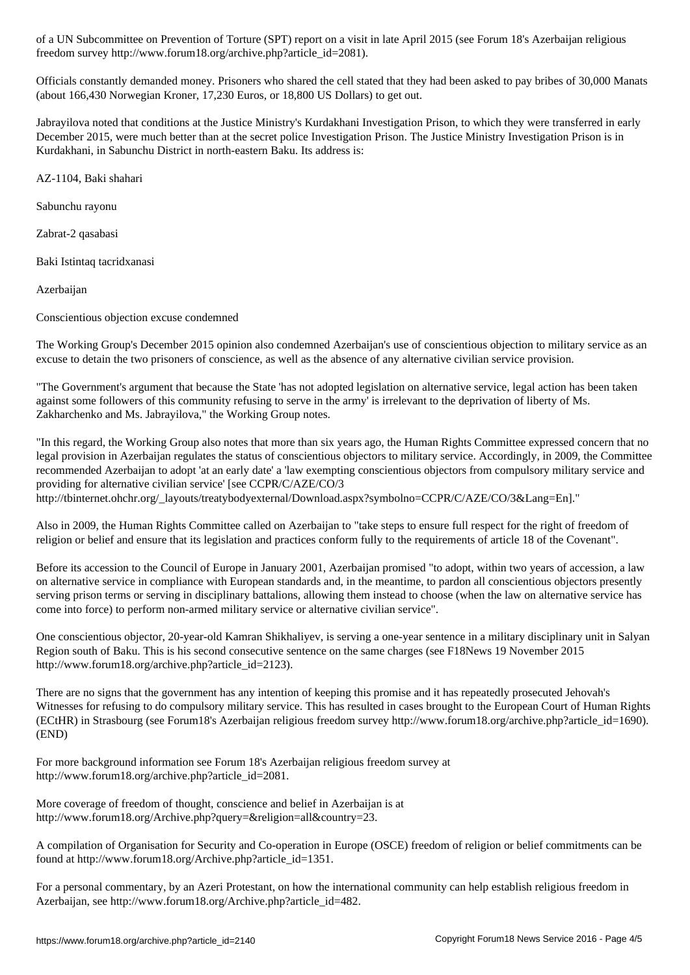freedom survey http://www.forum18.org/archive.php?article\_id=2081).

Officials constantly demanded money. Prisoners who shared the cell stated that they had been asked to pay bribes of 30,000 Manats (about 166,430 Norwegian Kroner, 17,230 Euros, or 18,800 US Dollars) to get out.

Jabrayilova noted that conditions at the Justice Ministry's Kurdakhani Investigation Prison, to which they were transferred in early December 2015, were much better than at the secret police Investigation Prison. The Justice Ministry Investigation Prison is in Kurdakhani, in Sabunchu District in north-eastern Baku. Its address is:

AZ-1104, Baki shahari

Sabunchu rayonu

Zabrat-2 qasabasi

Baki Istintaq tacridxanasi

Azerbaijan

Conscientious objection excuse condemned

The Working Group's December 2015 opinion also condemned Azerbaijan's use of conscientious objection to military service as an excuse to detain the two prisoners of conscience, as well as the absence of any alternative civilian service provision.

"The Government's argument that because the State 'has not adopted legislation on alternative service, legal action has been taken against some followers of this community refusing to serve in the army' is irrelevant to the deprivation of liberty of Ms. Zakharchenko and Ms. Jabrayilova," the Working Group notes.

"In this regard, the Working Group also notes that more than six years ago, the Human Rights Committee expressed concern that no legal provision in Azerbaijan regulates the status of conscientious objectors to military service. Accordingly, in 2009, the Committee recommended Azerbaijan to adopt 'at an early date' a 'law exempting conscientious objectors from compulsory military service and providing for alternative civilian service' [see CCPR/C/AZE/CO/3

http://tbinternet.ohchr.org/\_layouts/treatybodyexternal/Download.aspx?symbolno=CCPR/C/AZE/CO/3&Lang=En]."

Also in 2009, the Human Rights Committee called on Azerbaijan to "take steps to ensure full respect for the right of freedom of religion or belief and ensure that its legislation and practices conform fully to the requirements of article 18 of the Covenant".

Before its accession to the Council of Europe in January 2001, Azerbaijan promised "to adopt, within two years of accession, a law on alternative service in compliance with European standards and, in the meantime, to pardon all conscientious objectors presently serving prison terms or serving in disciplinary battalions, allowing them instead to choose (when the law on alternative service has come into force) to perform non-armed military service or alternative civilian service".

One conscientious objector, 20-year-old Kamran Shikhaliyev, is serving a one-year sentence in a military disciplinary unit in Salyan Region south of Baku. This is his second consecutive sentence on the same charges (see F18News 19 November 2015 http://www.forum18.org/archive.php?article\_id=2123).

There are no signs that the government has any intention of keeping this promise and it has repeatedly prosecuted Jehovah's Witnesses for refusing to do compulsory military service. This has resulted in cases brought to the European Court of Human Rights (ECtHR) in Strasbourg (see Forum18's Azerbaijan religious freedom survey http://www.forum18.org/archive.php?article\_id=1690). (END)

For more background information see Forum 18's Azerbaijan religious freedom survey at http://www.forum18.org/archive.php?article\_id=2081.

More coverage of freedom of thought, conscience and belief in Azerbaijan is at http://www.forum18.org/Archive.php?query=&religion=all&country=23.

A compilation of Organisation for Security and Co-operation in Europe (OSCE) freedom of religion or belief commitments can be found at http://www.forum18.org/Archive.php?article\_id=1351.

For a personal commentary, by an Azeri Protestant, on how the international community can help establish religious freedom in Azerbaijan, see http://www.forum18.org/Archive.php?article\_id=482.